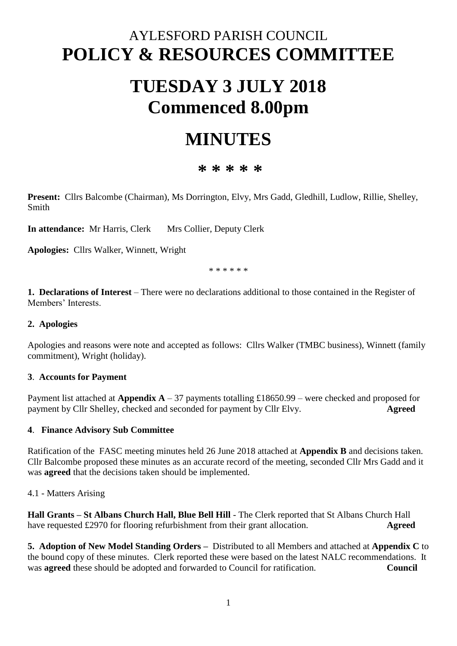### AYLESFORD PARISH COUNCIL **POLICY & RESOURCES COMMITTEE**

# **TUESDAY 3 JULY 2018 Commenced 8.00pm**

## **MINUTES**

### **\* \* \* \* \***

**Present:** Cllrs Balcombe (Chairman), Ms Dorrington, Elvy, Mrs Gadd, Gledhill, Ludlow, Rillie, Shelley, Smith

**In attendance:** Mr Harris, Clerk Mrs Collier, Deputy Clerk

**Apologies:** Cllrs Walker, Winnett, Wright

\* \* \* \* \* \*

**1. Declarations of Interest** – There were no declarations additional to those contained in the Register of Members' Interests.

#### **2. Apologies**

Apologies and reasons were note and accepted as follows: Cllrs Walker (TMBC business), Winnett (family commitment), Wright (holiday).

#### **3**. **Accounts for Payment**

Payment list attached at **Appendix A** – 37 payments totalling £18650.99 – were checked and proposed for payment by Cllr Shelley, checked and seconded for payment by Cllr Elvy. **Agreed**

#### **4**. **Finance Advisory Sub Committee**

Ratification of the FASC meeting minutes held 26 June 2018 attached at **Appendix B** and decisions taken. Cllr Balcombe proposed these minutes as an accurate record of the meeting, seconded Cllr Mrs Gadd and it was **agreed** that the decisions taken should be implemented.

4.1 - Matters Arising

**Hall Grants – St Albans Church Hall, Blue Bell Hill** - The Clerk reported that St Albans Church Hall have requested £2970 for flooring refurbishment from their grant allocation. **Agreed** 

**5. Adoption of New Model Standing Orders –** Distributed to all Members and attached at **Appendix C** to the bound copy of these minutes. Clerk reported these were based on the latest NALC recommendations. It was **agreed** these should be adopted and forwarded to Council for ratification. **Council**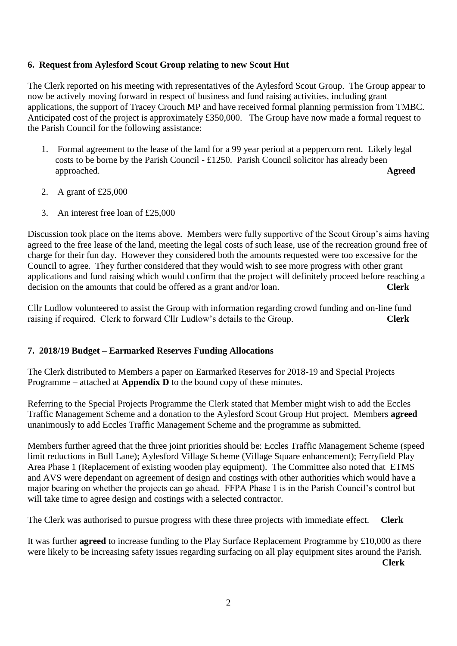#### **6. Request from Aylesford Scout Group relating to new Scout Hut**

The Clerk reported on his meeting with representatives of the Aylesford Scout Group. The Group appear to now be actively moving forward in respect of business and fund raising activities, including grant applications, the support of Tracey Crouch MP and have received formal planning permission from TMBC. Anticipated cost of the project is approximately £350,000. The Group have now made a formal request to the Parish Council for the following assistance:

- 1. Formal agreement to the lease of the land for a 99 year period at a peppercorn rent. Likely legal costs to be borne by the Parish Council - £1250. Parish Council solicitor has already been approached. **Agreed**
- 2. A grant of £25,000
- 3. An interest free loan of £25,000

Discussion took place on the items above. Members were fully supportive of the Scout Group's aims having agreed to the free lease of the land, meeting the legal costs of such lease, use of the recreation ground free of charge for their fun day. However they considered both the amounts requested were too excessive for the Council to agree. They further considered that they would wish to see more progress with other grant applications and fund raising which would confirm that the project will definitely proceed before reaching a decision on the amounts that could be offered as a grant and/or loan. **Clerk**

Cllr Ludlow volunteered to assist the Group with information regarding crowd funding and on-line fund raising if required. Clerk to forward Cllr Ludlow's details to the Group. **Clerk**

#### **7. 2018/19 Budget – Earmarked Reserves Funding Allocations**

The Clerk distributed to Members a paper on Earmarked Reserves for 2018-19 and Special Projects Programme – attached at **Appendix D** to the bound copy of these minutes.

Referring to the Special Projects Programme the Clerk stated that Member might wish to add the Eccles Traffic Management Scheme and a donation to the Aylesford Scout Group Hut project. Members **agreed**  unanimously to add Eccles Traffic Management Scheme and the programme as submitted.

Members further agreed that the three joint priorities should be: Eccles Traffic Management Scheme (speed limit reductions in Bull Lane); Aylesford Village Scheme (Village Square enhancement); Ferryfield Play Area Phase 1 (Replacement of existing wooden play equipment). The Committee also noted that ETMS and AVS were dependant on agreement of design and costings with other authorities which would have a major bearing on whether the projects can go ahead. FFPA Phase 1 is in the Parish Council's control but will take time to agree design and costings with a selected contractor.

The Clerk was authorised to pursue progress with these three projects with immediate effect. **Clerk**

It was further **agreed** to increase funding to the Play Surface Replacement Programme by £10,000 as there were likely to be increasing safety issues regarding surfacing on all play equipment sites around the Parish. **Clerk**